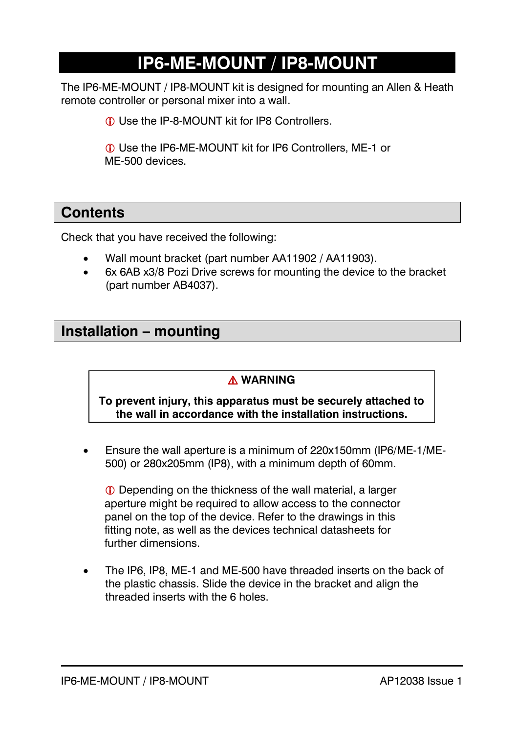# **IP6-ME-MOUNT / IP8-MOUNT**

The IP6-ME-MOUNT / IP8-MOUNT kit is designed for mounting an Allen & Heath remote controller or personal mixer into a wall.

**C** Use the IP-8-MOUNT kit for IP8 Controllers

 Use the IP6-ME-MOUNT kit for IP6 Controllers, ME-1 or ME-500 devices.

### **Contents**

Check that you have received the following:

- Wall mount bracket (part number AA11902 / AA11903).
- 6x 6AB x3/8 Pozi Drive screws for mounting the device to the bracket (part number AB4037).

### **Installation – mounting**

#### ⚠ **WARNING**

**To prevent injury, this apparatus must be securely attached to the wall in accordance with the installation instructions.**

• Ensure the wall aperture is a minimum of 220x150mm (IP6/ME-1/ME-500) or 280x205mm (IP8), with a minimum depth of 60mm.

 Depending on the thickness of the wall material, a larger aperture might be required to allow access to the connector panel on the top of the device. Refer to the drawings in this fitting note, as well as the devices technical datasheets for further dimensions.

• The IP6, IP8, ME-1 and ME-500 have threaded inserts on the back of the plastic chassis. Slide the device in the bracket and align the threaded inserts with the 6 holes.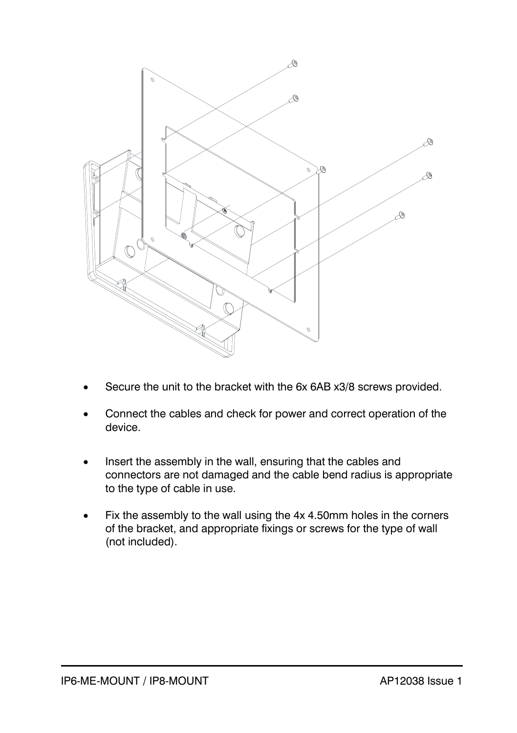

- Secure the unit to the bracket with the 6x 6AB x3/8 screws provided.
- Connect the cables and check for power and correct operation of the device.
- Insert the assembly in the wall, ensuring that the cables and connectors are not damaged and the cable bend radius is appropriate to the type of cable in use.
- Fix the assembly to the wall using the 4x 4.50mm holes in the corners of the bracket, and appropriate fixings or screws for the type of wall (not included).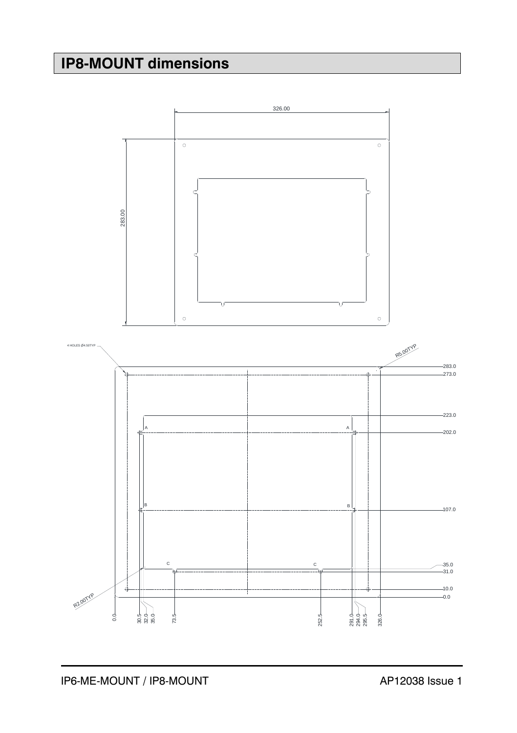## **IP8-MOUNT dimensions**